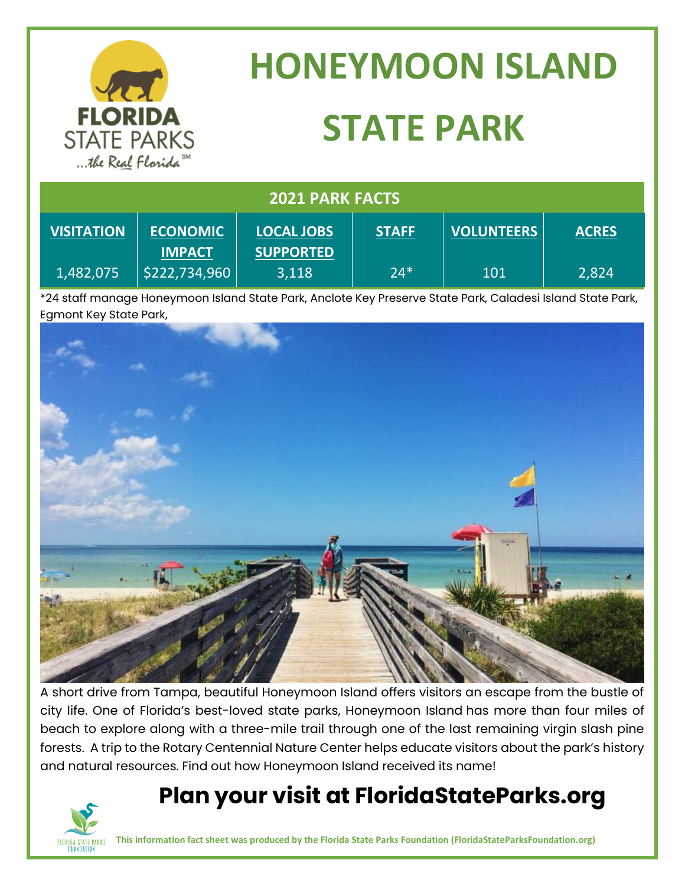|                                                                        |                 | <b>HONEYMOON ISLAND</b> |              |                   |              |
|------------------------------------------------------------------------|-----------------|-------------------------|--------------|-------------------|--------------|
| <b>FLORIDA</b><br><b>STATE PARKS</b><br>the Real Florida <sup>SM</sup> |                 | <b>STATE PARK</b>       |              |                   |              |
| <b>2021 PARK FACTS</b>                                                 |                 |                         |              |                   |              |
| <b>VISITATION</b>                                                      | <b>ECONOMIC</b> | <b>LOCAL JOBS</b>       | <b>STAFF</b> | <b>VOLUNTEERS</b> | <b>ACRES</b> |

\*24 staff manage Honeymoon Island State Park, Anclote Key Preserve State Park, Caladesi Island State Park, Egmont Key State Park,

24\*

101

2,824

**SUPPORTED** 3,118



A short drive from Tampa, beautiful Honeymoon Island offers visitors an escape from the bustle of city life. One of Florida's best-loved state parks, Honeymoon Island has more than four miles of beach to explore along with a three-mile trail through one of the last remaining virgin slash pine forests. A trip to the Rotary Centennial Nature Center helps educate visitors about the park's history and natural resources. Find out how Honeymoon Island received its name!

## **Plan your visit at FloridaStateParks.org**



1,482,075

**IMPACT** \$222,734,960

**This information fact sheet was produced by the Florida State Parks Foundation (FloridaStateParksFoundation.org)**